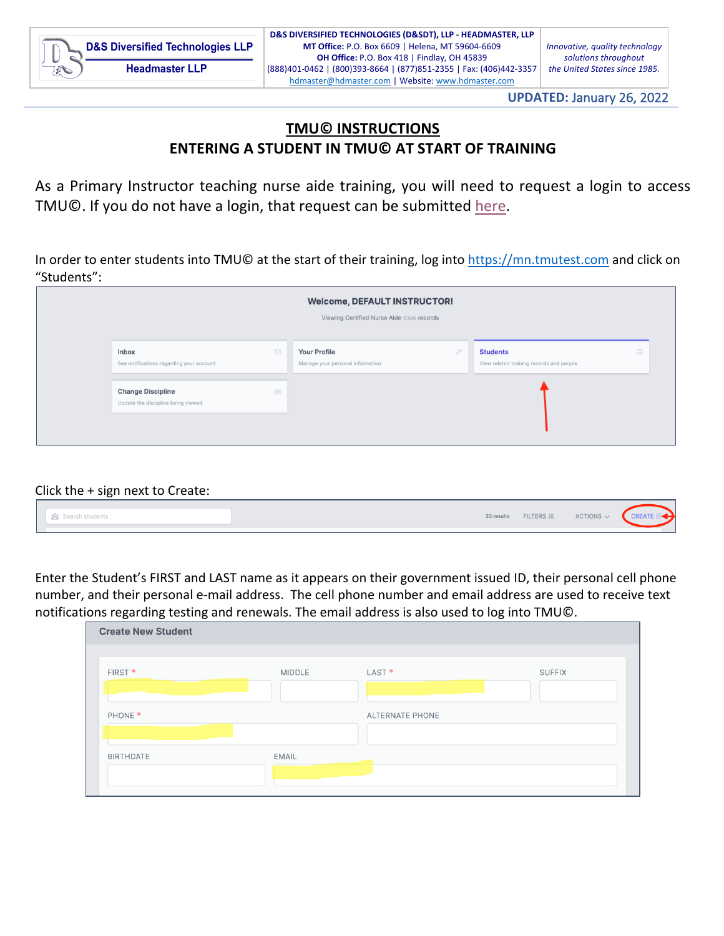**UPDATED:** January 26, 2022

## **TMU© INSTRUCTIONS ENTERING A STUDENT IN TMU© AT START OF TRAINING**

As a Primary Instructor teaching nurse aide training, you will need to request a login to access TMU©. If you do not have a login, that request can be submitted here.

In order to enter students into TMU© at the start of their training, log into https://mn.tmutest.com and click on "Students":

|                                                                |                                | <b>Welcome, DEFAULT INSTRUCTOR!</b><br>Viewing Certified Nurse Aide (CNA) records |                                                             |   |
|----------------------------------------------------------------|--------------------------------|-----------------------------------------------------------------------------------|-------------------------------------------------------------|---|
| <b>Inbox</b><br>See notifications regarding your account       | $\boxdot$                      | <b>Your Profile</b><br>Manage your personal information                           | <b>Students</b><br>View related training records and people | ê |
| <b>Change Discipline</b><br>Update the discipline being viewed | $\overbrace{200}^{\text{O}_0}$ |                                                                                   |                                                             |   |

## Click the + sign next to Create:

|  |  | 器 Search students | 33 results | <b>FILTERS IN</b> | ACTIONS $\sim$ |  |
|--|--|-------------------|------------|-------------------|----------------|--|
|--|--|-------------------|------------|-------------------|----------------|--|

Enter the Student's FIRST and LAST name as it appears on their government issued ID, their personal cell phone number, and their personal e-mail address. The cell phone number and email address are used to receive text notifications regarding testing and renewals. The email address is also used to log into TMU©.

| <b>Create New Student</b> |               |                                    |
|---------------------------|---------------|------------------------------------|
| FIRST <sup>*</sup>        | <b>MIDDLE</b> | LAST <sup>*</sup><br><b>SUFFIX</b> |
| PHONE <sup>*</sup>        |               | <b>ALTERNATE PHONE</b>             |
| <b>BIRTHDATE</b>          | EMAIL         |                                    |